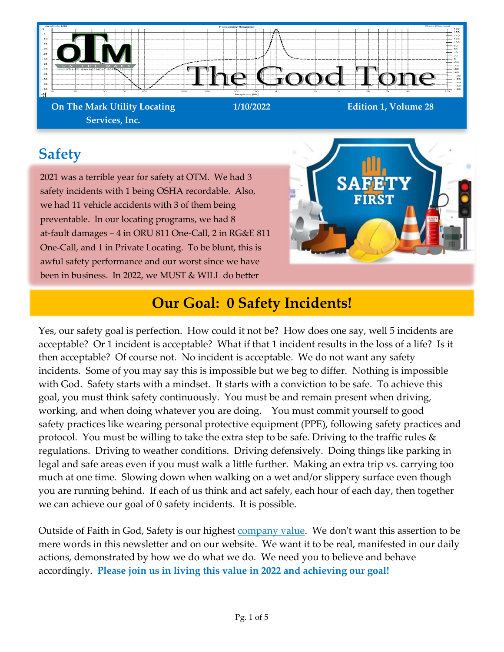

**On The Mark Utility Locating Services, Inc.**

**1/10/2022 Edition 1, Volume 28**

## **Safety**

2021 was a terrible year for safety at OTM. We had 3 safety incidents with 1 being OSHA recordable. Also, we had 11 vehicle accidents with 3 of them being preventable. In our locating programs, we had 8 at-fault damages – 4 in ORU 811 One-Call, 2 in RG&E 811 One-Call, and 1 in Private Locating. To be blunt, this is awful safety performance and our worst since we have been in business. In 2022, we MUST & WILL do better



## **Our Goal: 0 Safety Incidents!**

Yes, our safety goal is perfection. How could it not be? How does one say, well 5 incidents are acceptable? Or 1 incident is acceptable? What if that 1 incident results in the loss of a life? Is it then acceptable? Of course not. No incident is acceptable. We do not want any safety incidents. Some of you may say this is impossible but we beg to differ. Nothing is impossible with God. Safety starts with a mindset. It starts with a conviction to be safe. To achieve this goal, you must think safety continuously. You must be and remain present when driving, working, and when doing whatever you are doing. You must commit yourself to good safety practices like wearing personal protective equipment (PPE), following safety practices and protocol. You must be willing to take the extra step to be safe. Driving to the traffic rules  $\&$ regulations. Driving to weather conditions. Driving defensively. Doing things like parking in legal and safe areas even if you must walk a little further. Making an extra trip vs. carrying too much at one time. Slowing down when walking on a wet and/or slippery surface even though you are running behind. If each of us think and act safely, each hour of each day, then together we can achieve our goal of 0 safety incidents. It is possible.

Outside of Faith in God, Safety is our highest [company value.](https://www.otmlocating.com/core-values) We don't want this assertion to be mere words in this newsletter and on our website. We want it to be real, manifested in our daily actions, demonstrated by how we do what we do. We need you to believe and behave accordingly. **Please join us in living this value in 2022 and achieving our goal!**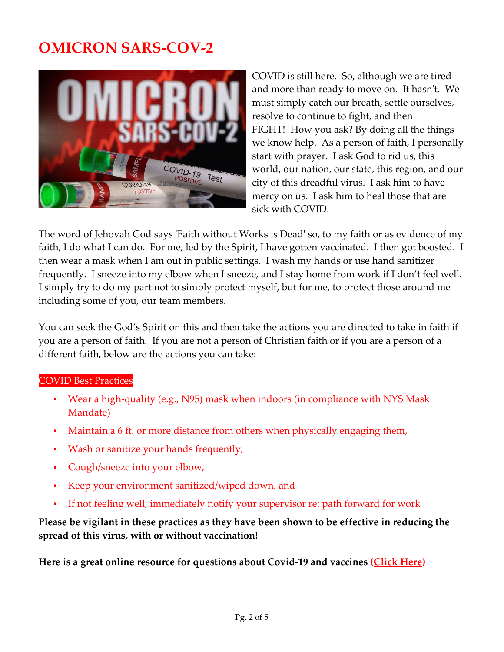## **OMICRON SARS-COV-2**



COVID is still here. So, although we are tired and more than ready to move on. It hasn't. We must simply catch our breath, settle ourselves, resolve to continue to fight, and then FIGHT! How you ask? By doing all the things we know help. As a person of faith, I personally start with prayer. I ask God to rid us, this world, our nation, our state, this region, and our city of this dreadful virus. I ask him to have mercy on us. I ask him to heal those that are sick with COVID.

The word of Jehovah God says 'Faith without Works is Dead' so, to my faith or as evidence of my faith, I do what I can do. For me, led by the Spirit, I have gotten vaccinated. I then got boosted. I then wear a mask when I am out in public settings. I wash my hands or use hand sanitizer frequently. I sneeze into my elbow when I sneeze, and I stay home from work if I don't feel well. I simply try to do my part not to simply protect myself, but for me, to protect those around me including some of you, our team members.

You can seek the God's Spirit on this and then take the actions you are directed to take in faith if you are a person of faith. If you are not a person of Christian faith or if you are a person of a different faith, below are the actions you can take:

#### COVID Best Practices

- Wear a high-quality (e.g., N95) mask when indoors (in compliance with NYS Mask Mandate)
- Maintain a 6 ft. or more distance from others when physically engaging them,
- Wash or sanitize your hands frequently,
- Cough/sneeze into your elbow,
- Keep your environment sanitized/wiped down, and
- If not feeling well, immediately notify your supervisor re: path forward for work

#### **Please be vigilant in these practices as they have been shown to be effective in reducing the spread of this virus, with or without vaccination!**

**Here is a great online resource for questions about Covid-19 and vaccines [\(Click Here\)](https://www.cnn.com/interactive/2020/health/coronavirus-questions-answers/#ive-already-had-covid-19-can-i-still-get-infected-with-the-omicron-variant)**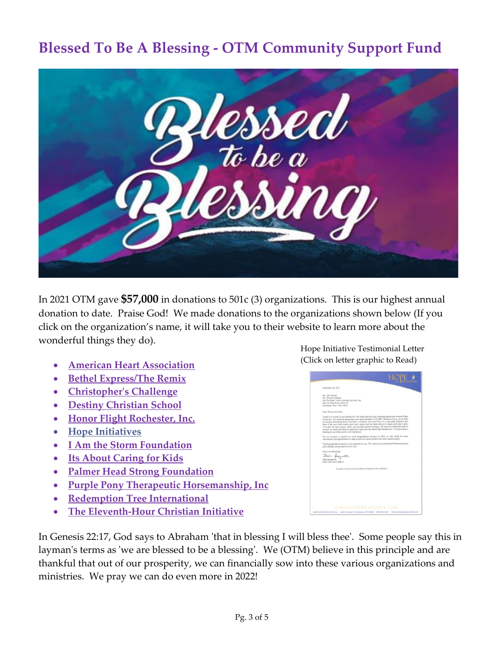## **Blessed To Be A Blessing - OTM Community Support Fund**



In 2021 OTM gave **\$57,000** in donations to 501c (3) organizations. This is our highest annual donation to date. Praise God! We made donations to the organizations shown below (If you click on the organization's name, it will take you to their website to learn more about the wonderful things they do).

- **[American Heart Association](https://www.heart.org/)**
- **[Bethel Express/The Remix](https://www.bethelexpress.org/)**
- **[Christopher's Challenge](https://christopherschallenge.org/)**
- **[Destiny Christian School](http://destinyschool.com/)**
- **[Honor Flight Rochester, Inc.](https://honorflightrochester.org/)**
- **[Hope Initiatives](https://www.makinghopepossible.com/)**
- **[I Am the Storm Foundation](https://iamthestormfoundation.org/)**
- **[Its About Caring for Kids](https://www.iackids.org/)**
- **[Palmer Head Strong Foundation](https://www.facebook.com/PalmerHeadStrongFoundation/)**
- **[Purple Pony Therapeutic Horsemanship, Inc](https://www.purplepony.org/)**
- **[Redemption Tree International](https://www.redemptiontreeintl.org/)**
- **[The Eleventh-Hour Christian Initiative](http://11hci.com/)**

In Genesis 22:17, God says to Abraham 'that in blessing I will bless thee'. Some people say this in layman's terms as 'we are blessed to be a blessing'. We (OTM) believe in this principle and are thankful that out of our prosperity, we can financially sow into these various organizations and ministries. We pray we can do even more in 2022!

[Hope Initiative Testimonial Letter](https://12e01c37-f936-62ee-c3b5-d01ce01e03b3.filesusr.com/ugd/4db0aa_43674c7ffeef492d91e1c3f2980d046b.pdf) (Click on letter graphic to Read)

| December 20, 2021                                                                                                                                                                                                                                                                                                                                                                                                                                                                                                                                                                                                                                                   |
|---------------------------------------------------------------------------------------------------------------------------------------------------------------------------------------------------------------------------------------------------------------------------------------------------------------------------------------------------------------------------------------------------------------------------------------------------------------------------------------------------------------------------------------------------------------------------------------------------------------------------------------------------------------------|
| Mr. John Bryant<br>Mr. Wayne Coleman<br>On The Mark Utility Locating Services, Inc.<br>400 Air Park Drive, Suite 30<br>Rochester, New York 14624                                                                                                                                                                                                                                                                                                                                                                                                                                                                                                                    |
| Dear Wayne and John.                                                                                                                                                                                                                                                                                                                                                                                                                                                                                                                                                                                                                                                |
| Thank you to both of you and the On The Mark team for your continued generosity towards Hope<br>Initiatives. We sincerely appreciate your recent donation of \$1,000. Because of you, we are able<br>to continue furnishing basic necessities to families who need them. It is especially helpful at this<br>time of the year when needs soon more urgent and our team strives to ensure each one is met.<br>Your gift was also a quick, direct, and accurate answer to prayer. We were not financially able to<br>remind our employees that we appreciate them and care about their families too. You have been a<br>blessing to our clients and to our employees. |
| We are excited to expand our work preparedness services in 2022, so stay tuned for more<br>information and opportunities to help us and our clients achieve our God ordained goals.                                                                                                                                                                                                                                                                                                                                                                                                                                                                                 |
| The Hope Initiatives family is very grateful for you. We wish you a most blessed Christmas season.<br>and a healthy and prosperous new year.                                                                                                                                                                                                                                                                                                                                                                                                                                                                                                                        |
| Peace and Blessings.<br>Deer pagsah<br>Dale Sedgwick<br>Chief Executive Officer                                                                                                                                                                                                                                                                                                                                                                                                                                                                                                                                                                                     |
| No goods or services were presided in exchange for this contribution.                                                                                                                                                                                                                                                                                                                                                                                                                                                                                                                                                                                               |
|                                                                                                                                                                                                                                                                                                                                                                                                                                                                                                                                                                                                                                                                     |
|                                                                                                                                                                                                                                                                                                                                                                                                                                                                                                                                                                                                                                                                     |
|                                                                                                                                                                                                                                                                                                                                                                                                                                                                                                                                                                                                                                                                     |
| MAKINGHOPEPOSSIBLE COM                                                                                                                                                                                                                                                                                                                                                                                                                                                                                                                                                                                                                                              |
| HOPE INITIATIVES CDC, Inc. : 506 W. Broad St. Rochester, NY 14608   185-697-0407   influjierakinghapepoisitie.com                                                                                                                                                                                                                                                                                                                                                                                                                                                                                                                                                   |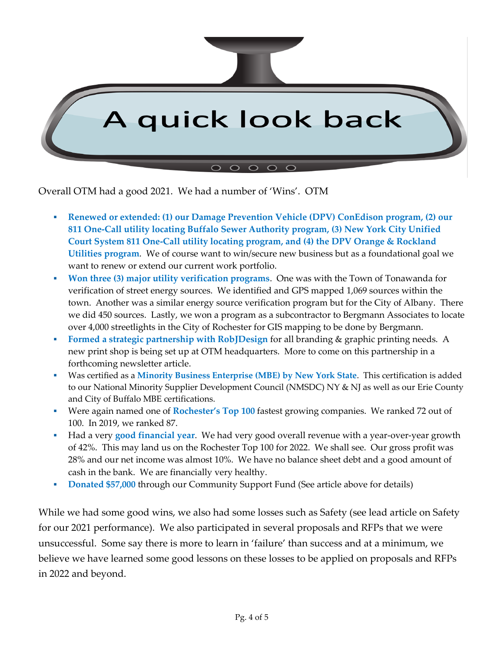

Overall OTM had a good 2021. We had a number of 'Wins'. OTM

- **Renewed or extended: (1) our Damage Prevention Vehicle (DPV) ConEdison program, (2) our 811 One-Call utility locating Buffalo Sewer Authority program, (3) New York City Unified Court System 811 One-Call utility locating program, and (4) the DPV Orange & Rockland Utilities program**. We of course want to win/secure new business but as a foundational goal we want to renew or extend our current work portfolio.
- **Won three (3) major utility verification programs. One was with the Town of Tonawanda for** verification of street energy sources. We identified and GPS mapped 1,069 sources within the town. Another was a similar energy source verification program but for the City of Albany. There we did 450 sources. Lastly, we won a program as a subcontractor to Bergmann Associates to locate over 4,000 streetlights in the City of Rochester for GIS mapping to be done by Bergmann.
- **Formed a strategic partnership with RobJDesign** for all branding & graphic printing needs. A new print shop is being set up at OTM headquarters. More to come on this partnership in a forthcoming newsletter article.
- Was certified as a Minority Business Enterprise (MBE) by New York State. This certification is added to our National Minority Supplier Development Council (NMSDC) NY & NJ as well as our Erie County and City of Buffalo MBE certifications.
- Were again named one of **Rochester's Top 100** fastest growing companies. We ranked 72 out of 100. In 2019, we ranked 87.
- Had a very **good financial year**. We had very good overall revenue with a year-over-year growth of 42%. This may land us on the Rochester Top 100 for 2022. We shall see. Our gross profit was 28% and our net income was almost 10%. We have no balance sheet debt and a good amount of cash in the bank. We are financially very healthy.
- **Donated \$57,000** through our Community Support Fund (See article above for details)

While we had some good wins, we also had some losses such as Safety (see lead article on Safety for our 2021 performance). We also participated in several proposals and RFPs that we were unsuccessful. Some say there is more to learn in 'failure' than success and at a minimum, we believe we have learned some good lessons on these losses to be applied on proposals and RFPs in 2022 and beyond.